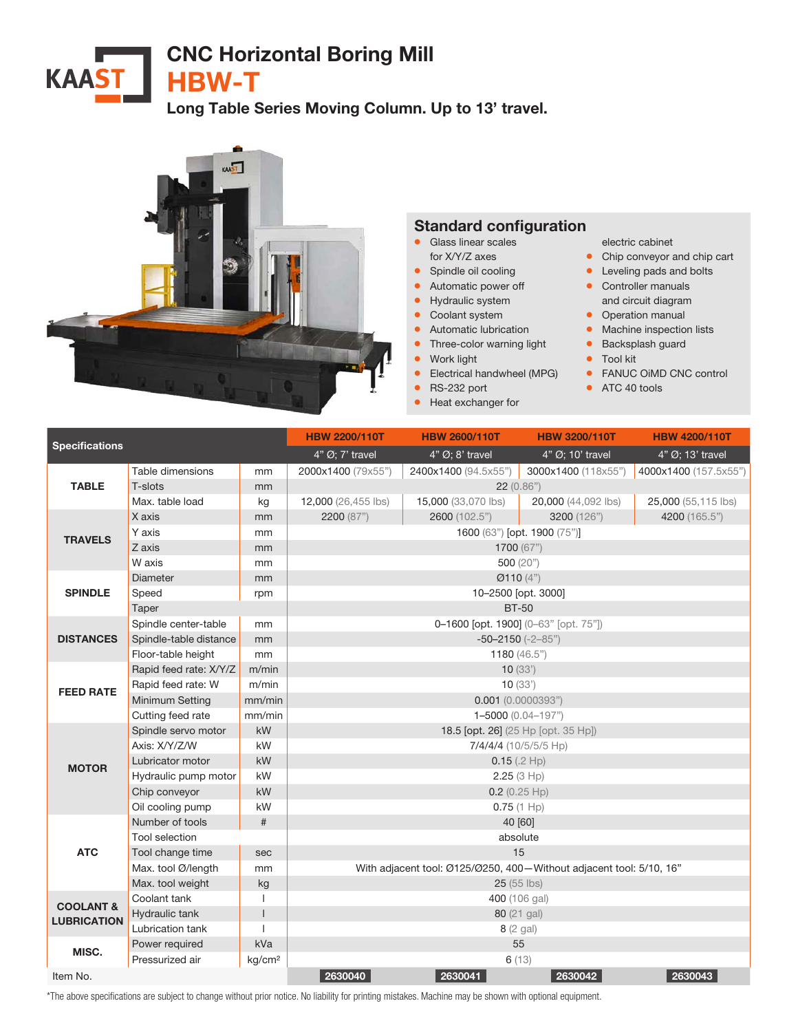## CNC Horizontal Boring Mill **KAAST**

HBW-T

Long Table Series Moving Column. Up to 13' travel.



## Standard configuration

- **•** Glass linear scales
- for X/Y/Z axes
- Spindle oil cooling
- Automatic power off
- Hydraulic system
- Coolant system
- Automatic lubrication
- **•** Three-color warning light
- Work light
- Electrical handwheel (MPG)
- RS-232 port
- Heat exchanger for

electric cabinet

- Chip conveyor and chip cart
- Leveling pads and bolts
- Controller manuals and circuit diagram
- Operation manual
- Machine inspection lists
- Backsplash guard
- Tool kit
- FANUC OiMD CNC control
- ATC 40 tools

| <b>Specifications</b>                      |                        |                    | <b>HBW 2200/110T</b>                                                | <b>HBW 2600/110T</b>           | <b>HBW 3200/110T</b> | <b>HBW 4200/110T</b>  |  |  |
|--------------------------------------------|------------------------|--------------------|---------------------------------------------------------------------|--------------------------------|----------------------|-----------------------|--|--|
|                                            |                        |                    | 4" Ø; 7' travel                                                     | $4"$ $\varnothing$ ; 8' travel | 4" Ø; 10' travel     | 4" Ø; 13' travel      |  |  |
| <b>TABLE</b>                               | Table dimensions       | mm                 | 2000x1400 (79x55")                                                  | 2400x1400 (94.5x55")           | 3000x1400 (118x55")  | 4000x1400 (157.5x55") |  |  |
|                                            | T-slots                | mm                 | 22(0.86")                                                           |                                |                      |                       |  |  |
|                                            | Max. table load        | kg                 | 12,000 (26,455 lbs)                                                 | 15,000 (33,070 lbs)            | 20,000 (44,092 lbs)  | 25,000 (55,115 lbs)   |  |  |
| <b>TRAVELS</b>                             | X axis                 | mm                 | 2200 (87")                                                          | 2600 (102.5")                  | 3200 (126")          | 4200 (165.5")         |  |  |
|                                            | Y axis                 | mm                 | 1600 (63") [opt. 1900 (75")]                                        |                                |                      |                       |  |  |
|                                            | Z axis                 | mm                 | 1700 (67")                                                          |                                |                      |                       |  |  |
|                                            | W axis                 | mm                 | 500 (20")                                                           |                                |                      |                       |  |  |
| <b>SPINDLE</b>                             | Diameter               | mm                 | Ø110(4")                                                            |                                |                      |                       |  |  |
|                                            | Speed                  | rpm                | 10-2500 [opt. 3000]                                                 |                                |                      |                       |  |  |
|                                            | Taper                  |                    | <b>BT-50</b>                                                        |                                |                      |                       |  |  |
| <b>DISTANCES</b>                           | Spindle center-table   | mm                 | 0-1600 [opt. 1900] (0-63" [opt. 75"])                               |                                |                      |                       |  |  |
|                                            | Spindle-table distance | mm                 | $-50-2150$ $(-2-85)$                                                |                                |                      |                       |  |  |
|                                            | Floor-table height     | mm                 | 1180 $(46.5")$                                                      |                                |                      |                       |  |  |
| <b>FEED RATE</b>                           | Rapid feed rate: X/Y/Z | m/min              | 10(33)                                                              |                                |                      |                       |  |  |
|                                            | Rapid feed rate: W     | m/min              | 10(33)                                                              |                                |                      |                       |  |  |
|                                            | Minimum Setting        | mm/min             | $0.001$ (0.0000393")                                                |                                |                      |                       |  |  |
|                                            | Cutting feed rate      | mm/min             | 1-5000 (0.04-197")                                                  |                                |                      |                       |  |  |
| <b>MOTOR</b>                               | Spindle servo motor    | kW                 | 18.5 [opt. 26] (25 Hp [opt. 35 Hp])                                 |                                |                      |                       |  |  |
|                                            | Axis: X/Y/Z/W          | kW                 | 7/4/4/4 (10/5/5/5 Hp)                                               |                                |                      |                       |  |  |
|                                            | Lubricator motor       | kW                 | 0.15(.2 Hp)                                                         |                                |                      |                       |  |  |
|                                            | Hydraulic pump motor   | kW                 | 2.25(3 Hp)                                                          |                                |                      |                       |  |  |
|                                            | Chip conveyor          | kW                 | $0.2$ (0.25 Hp)                                                     |                                |                      |                       |  |  |
|                                            | Oil cooling pump       | kW                 | $0.75(1$ Hp)                                                        |                                |                      |                       |  |  |
| <b>ATC</b>                                 | Number of tools        | #                  | 40 [60]                                                             |                                |                      |                       |  |  |
|                                            | Tool selection         |                    | absolute                                                            |                                |                      |                       |  |  |
|                                            | Tool change time       | sec                | 15                                                                  |                                |                      |                       |  |  |
|                                            | Max. tool Ø/length     | mm                 | With adjacent tool: Ø125/Ø250, 400-Without adjacent tool: 5/10, 16" |                                |                      |                       |  |  |
|                                            | Max. tool weight       | kg                 | $25(55$ lbs)                                                        |                                |                      |                       |  |  |
| <b>COOLANT &amp;</b><br><b>LUBRICATION</b> | Coolant tank           | I                  | 400 (106 gal)                                                       |                                |                      |                       |  |  |
|                                            | Hydraulic tank         | $\overline{1}$     | 80 (21 gal)                                                         |                                |                      |                       |  |  |
|                                            | Lubrication tank       |                    | 8 (2 gal)                                                           |                                |                      |                       |  |  |
| MISC.                                      | Power required         | kVa                | 55                                                                  |                                |                      |                       |  |  |
|                                            | Pressurized air        | kg/cm <sup>2</sup> | 6(13)                                                               |                                |                      |                       |  |  |
| Item No.                                   |                        |                    | 2630040                                                             | 2630041                        | 2630042              | 2630043               |  |  |

\*The above specifications are subject to change without prior notice. No liability for printing mistakes. Machine may be shown with optional equipment.